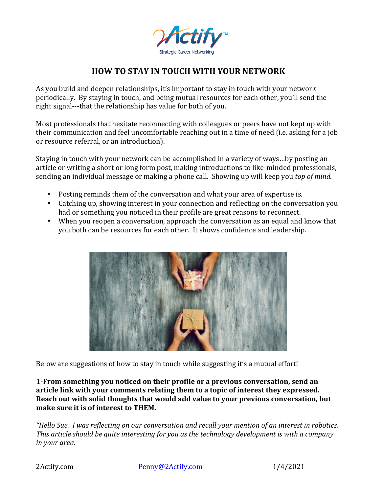

## **HOW TO STAY IN TOUCH WITH YOUR NETWORK**

As you build and deepen relationships, it's important to stay in touch with your network periodically. By staying in touch, and being mutual resources for each other, you'll send the right signal---that the relationship has value for both of you.

Most professionals that hesitate reconnecting with colleagues or peers have not kept up with their communication and feel uncomfortable reaching out in a time of need (i.e. asking for a job or resource referral, or an introduction).

Staying in touch with your network can be accomplished in a variety of ways...by posting an article or writing a short or long form post, making introductions to like-minded professionals, sending an individual message or making a phone call. Showing up will keep you *top of mind*.

- Posting reminds them of the conversation and what your area of expertise is.
- Catching up, showing interest in your connection and reflecting on the conversation you had or something you noticed in their profile are great reasons to reconnect.
- When you reopen a conversation, approach the conversation as an equal and know that you both can be resources for each other. It shows confidence and leadership.



Below are suggestions of how to stay in touch while suggesting it's a mutual effort!

**1-From something you noticed on their profile or a previous conversation, send an** article link with your comments relating them to a topic of interest they expressed. **Reach out with solid thoughts that would add value to your previous conversation, but** make sure it is of interest to THEM.

*"Hello Sue. I* was reflecting on our conversation and recall your mention of an interest in robotics. This article should be quite interesting for you as the technology development is with a company *in your area.*

2Actify.com Penny@2Actify.com 1/4/2021